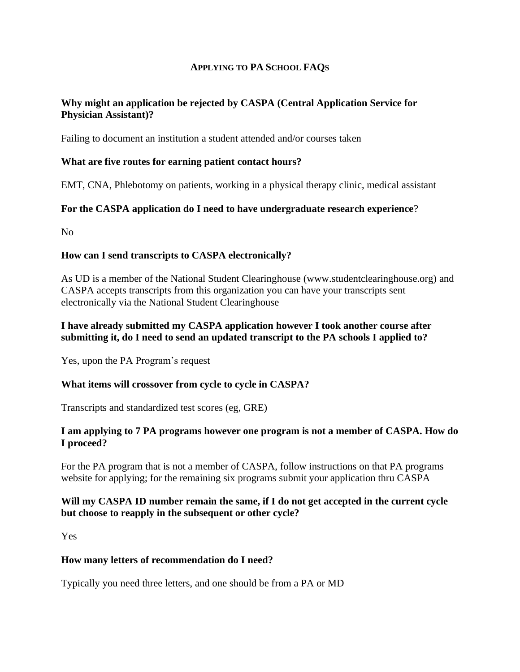#### **APPLYING TO PA SCHOOL FAQS**

# **Why might an application be rejected by CASPA (Central Application Service for Physician Assistant)?**

Failing to document an institution a student attended and/or courses taken

#### **What are five routes for earning patient contact hours?**

EMT, CNA, Phlebotomy on patients, working in a physical therapy clinic, medical assistant

#### **For the CASPA application do I need to have undergraduate research experience**?

No

### **How can I send transcripts to CASPA electronically?**

As UD is a member of the National Student Clearinghouse (www.studentclearinghouse.org) and CASPA accepts transcripts from this organization you can have your transcripts sent electronically via the National Student Clearinghouse

#### **I have already submitted my CASPA application however I took another course after submitting it, do I need to send an updated transcript to the PA schools I applied to?**

Yes, upon the PA Program's request

### **What items will crossover from cycle to cycle in CASPA?**

Transcripts and standardized test scores (eg, GRE)

#### **I am applying to 7 PA programs however one program is not a member of CASPA. How do I proceed?**

For the PA program that is not a member of CASPA, follow instructions on that PA programs website for applying; for the remaining six programs submit your application thru CASPA

### **Will my CASPA ID number remain the same, if I do not get accepted in the current cycle but choose to reapply in the subsequent or other cycle?**

Yes

### **How many letters of recommendation do I need?**

Typically you need three letters, and one should be from a PA or MD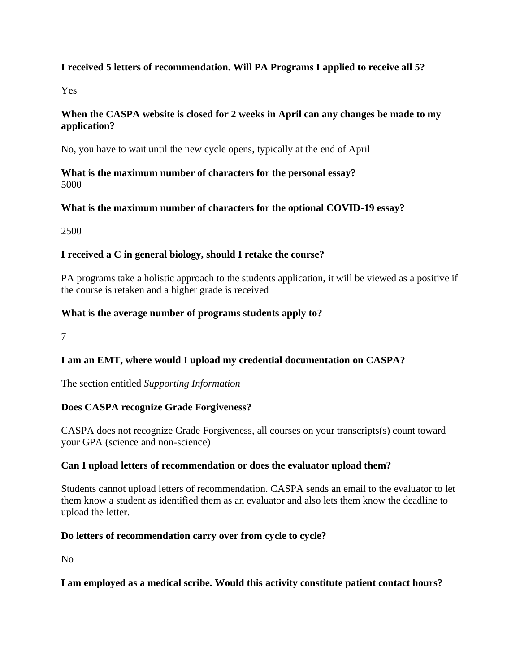# **I received 5 letters of recommendation. Will PA Programs I applied to receive all 5?**

Yes

### **When the CASPA website is closed for 2 weeks in April can any changes be made to my application?**

No, you have to wait until the new cycle opens, typically at the end of April

**What is the maximum number of characters for the personal essay?** 5000

# **What is the maximum number of characters for the optional COVID-19 essay?**

2500

# **I received a C in general biology, should I retake the course?**

PA programs take a holistic approach to the students application, it will be viewed as a positive if the course is retaken and a higher grade is received

### **What is the average number of programs students apply to?**

7

# **I am an EMT, where would I upload my credential documentation on CASPA?**

The section entitled *Supporting Information*

### **Does CASPA recognize Grade Forgiveness?**

CASPA does not recognize Grade Forgiveness, all courses on your transcripts(s) count toward your GPA (science and non-science)

### **Can I upload letters of recommendation or does the evaluator upload them?**

Students cannot upload letters of recommendation. CASPA sends an email to the evaluator to let them know a student as identified them as an evaluator and also lets them know the deadline to upload the letter.

### **Do letters of recommendation carry over from cycle to cycle?**

No

### **I am employed as a medical scribe. Would this activity constitute patient contact hours?**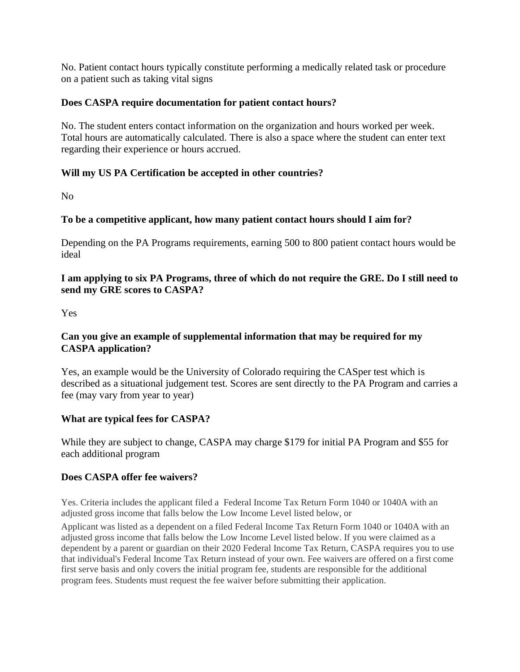No. Patient contact hours typically constitute performing a medically related task or procedure on a patient such as taking vital signs

### **Does CASPA require documentation for patient contact hours?**

No. The student enters contact information on the organization and hours worked per week. Total hours are automatically calculated. There is also a space where the student can enter text regarding their experience or hours accrued.

#### **Will my US PA Certification be accepted in other countries?**

No

### **To be a competitive applicant, how many patient contact hours should I aim for?**

Depending on the PA Programs requirements, earning 500 to 800 patient contact hours would be ideal

#### **I am applying to six PA Programs, three of which do not require the GRE. Do I still need to send my GRE scores to CASPA?**

Yes

# **Can you give an example of supplemental information that may be required for my CASPA application?**

Yes, an example would be the University of Colorado requiring the CASper test which is described as a situational judgement test. Scores are sent directly to the PA Program and carries a fee (may vary from year to year)

#### **What are typical fees for CASPA?**

While they are subject to change, CASPA may charge \$179 for initial PA Program and \$55 for each additional program

#### **Does CASPA offer fee waivers?**

Yes. Criteria includes the applicant filed a Federal Income Tax Return Form 1040 or 1040A with an adjusted gross income that falls below the Low Income Level listed below, or

Applicant was listed as a dependent on a filed Federal Income Tax Return Form 1040 or 1040A with an adjusted gross income that falls below the Low Income Level listed below. If you were claimed as a dependent by a parent or guardian on their 2020 Federal Income Tax Return, CASPA requires you to use that individual's Federal Income Tax Return instead of your own. Fee waivers are offered on a first come first serve basis and only covers the initial program fee, students are responsible for the additional program fees. Students must request the fee waiver before submitting their application.